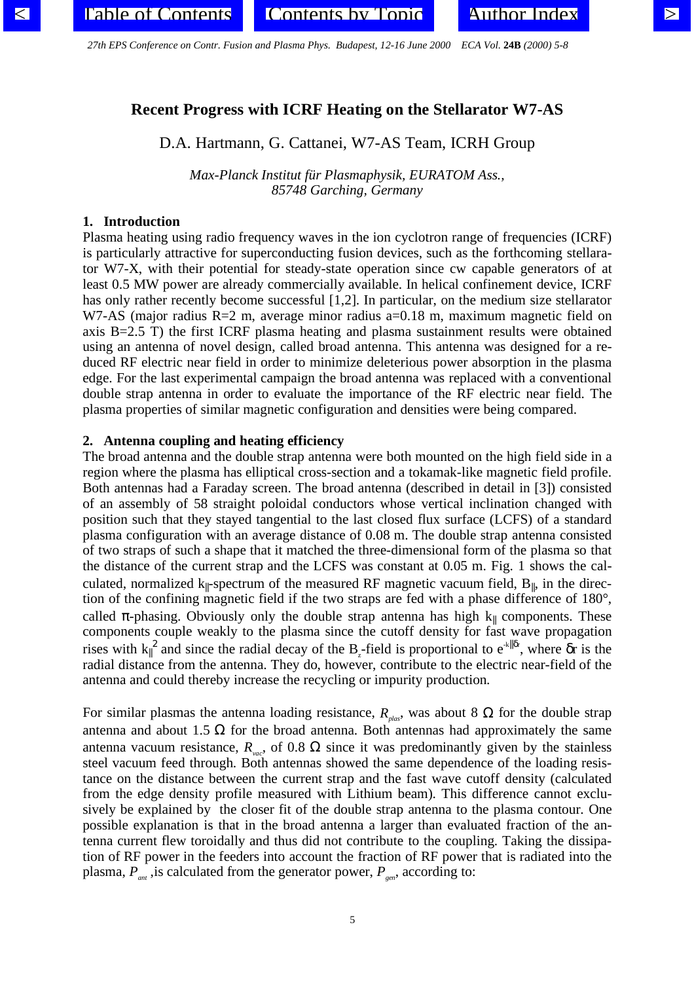# <span id="page-0-0"></span>**Recent Progress with ICRF Heating on the Stellarator W7-AS**

# D.A. Hartmann, G. Cattanei, W7-AS Team, ICRH Group

*Max-Planck Institut für Plasmaphysik, EURATOM Ass., 85748 Garching, Germany*

#### **1. Introduction**

Plasma heating using radio frequency waves in the ion cyclotron range of frequencies (ICRF) is particularly attractive for superconducting fusion devices, such as the forthcoming stellarator W7-X, with their potential for steady-state operation since cw capable generators of at least 0.5 MW power are already commercially available. In helical confinement device, ICRF has only rather recently become successful [1,2]. In particular, on the medium size stellarator W7-AS (major radius  $R=2$  m, average minor radius a=0.18 m, maximum magnetic field on axis B=2.5 T) the first ICRF plasma heating and plasma sustainment results were obtained using an antenna of novel design, called broad antenna. This antenna was designed for a reduced RF electric near field in order to minimize deleterious power absorption in the plasma edge. For the last experimental campaign the broad antenna was replaced with a conventional double strap antenna in order to evaluate the importance of the RF electric near field. The plasma properties of similar magnetic configuration and densities were being compared.

#### **2. Antenna coupling and heating efficiency**

The broad antenna and the double strap antenna were both mounted on the high field side in a region where the plasma has elliptical cross-section and a tokamak-like magnetic field profile. Both antennas had a Faraday screen. The broad antenna (described in detail in [3]) consisted of an assembly of 58 straight poloidal conductors whose vertical inclination changed with position such that they stayed tangential to the last closed flux surface (LCFS) of a standard plasma configuration with an average distance of 0.08 m. The double strap antenna consisted of two straps of such a shape that it matched the three-dimensional form of the plasma so that the distance of the current strap and the LCFS was constant at 0.05 m. Fig. 1 shows the calculated, normalized  $k_{\parallel}$ -spectrum of the measured RF magnetic vacuum field,  $B_{\parallel}$ , in the direction of the confining magnetic field if the two straps are fed with a phase difference of 180°, called  $\pi$ -phasing. Obviously only the double strap antenna has high  $k_{\parallel}$  components. These components couple weakly to the plasma since the cutoff density for fast wave propagation rises with  $k_{\parallel}^2$  and since the radial decay of the B<sub>z</sub>-field is proportional to  $e^{k\|\delta r}$ , where  $\delta r$  is the radial distance from the antenna. They do, however, contribute to the electric near-field of the antenna and could thereby increase the recycling or impurity production.

For similar plasmas the antenna loading resistance,  $R_{\text{plas}}$ , was about 8  $\Omega$  for the double strap antenna and about 1.5  $\Omega$  for the broad antenna. Both antennas had approximately the same antenna vacuum resistance,  $R_{\text{vac}}$ , of 0.8  $\Omega$  since it was predominantly given by the stainless steel vacuum feed through. Both antennas showed the same dependence of the loading resistance on the distance between the current strap and the fast wave cutoff density (calculated from the edge density profile measured with Lithium beam). This difference cannot exclusively be explained by the closer fit of the double strap antenna to the plasma contour. One possible explanation is that in the broad antenna a larger than evaluated fraction of the antenna current flew toroidally and thus did not contribute to the coupling. Taking the dissipation of RF power in the feeders into account the fraction of RF power that is radiated into the plasma,  $P_{\text{ant}}$ , is calculated from the generator power,  $P_{\text{gen}}$ , according to: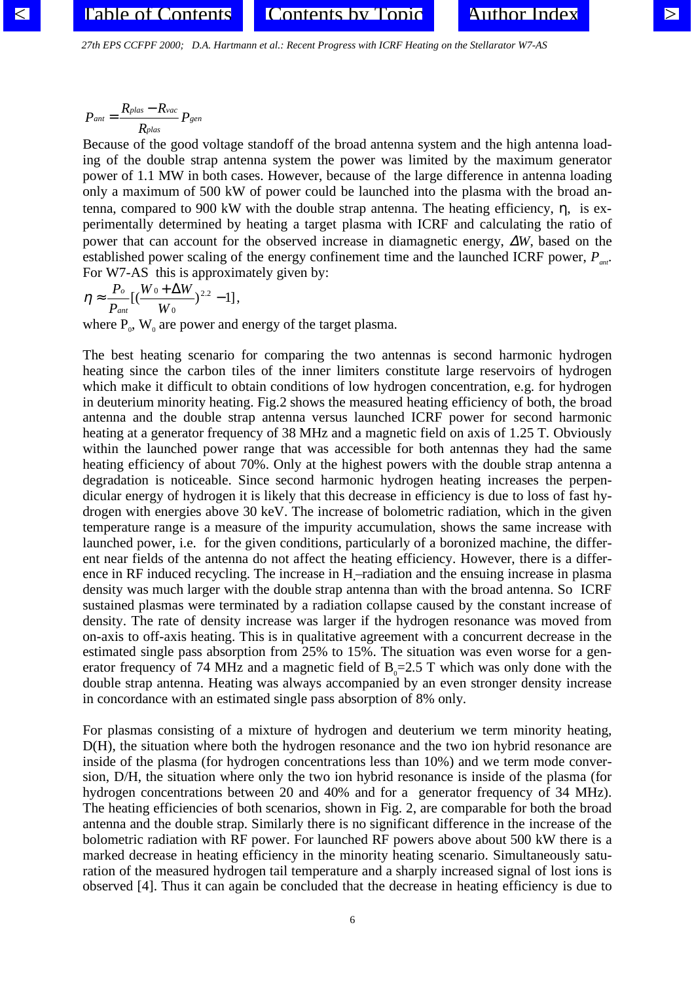*27th EPS CCFPF 2000; D.A. Hartmann et al. : Recent Progress with ICRF Heating on the Stellarator W7-AS* 

$$
P_{ant} = \frac{R_{plas} - R_{vac}}{R_{plas}} P_{gen}
$$

Because of the good voltage standoff of the broad antenna system and the high antenna loading of the double strap antenna system the power was limited by the maximum generator power of 1.1 MW in both cases. However, because of the large difference in antenna loading only a maximum of 500 kW of power could be launched into the plasma with the broad antenna, compared to 900 kW with the double strap antenna. The heating efficiency, η, is experimentally determined by heating a target plasma with ICRF and calculating the ratio of power that can account for the observed increase in diamagnetic energy, ∆*W*, based on the established power scaling of the energy confinement time and the launched ICRF power, *Pant* . For W7-AS this is approximately given by:

$$
\eta \approx \frac{P_o}{P_{ant}}[(\frac{W_0 + \Delta W}{W_0})^{2.2} - 1],
$$

where  $P_0$ ,  $W_0$  are power and energy of the target plasma.

The best heating scenario for comparing the two antennas is second harmonic hydrogen heating since the carbon tiles of the inner limiters constitute large reservoirs of hydrogen which make it difficult to obtain conditions of low hydrogen concentration, e.g. for hydrogen in deuterium minority heating. Fig.2 shows the measured heating efficiency of both, the broad antenna and the double strap antenna versus launched ICRF power for second harmonic heating at a generator frequency of 38 MHz and a magnetic field on axis of 1.25 T. Obviously within the launched power range that was accessible for both antennas they had the same heating efficiency of about 70%. Only at the highest powers with the double strap antenna a degradation is noticeable. Since second harmonic hydrogen heating increases the perpendicular energy of hydrogen it is likely that this decrease in efficiency is due to loss of fast hydrogen with energies above 30 keV. The increase of bolometric radiation, which in the given temperature range is a measure of the impurity accumulation, shows the same increase with launched power, i.e. for the given conditions, particularly of a boronized machine, the different near fields of the antenna do not affect the heating efficiency. However, there is a difference in RF induced recycling. The increase in H-radiation and the ensuing increase in plasma density was much larger with the double strap antenna than with the broad antenna. So ICRF sustained plasmas were terminated by a radiation collapse caused by the constant increase of density. The rate of density increase was larger if the hydrogen resonance was moved from on-axis to off-axis heating. This is in qualitative agreement with a concurrent decrease in the estimated single pass absorption from 25% to 15%. The situation was even worse for a generator frequency of 74 MHz and a magnetic field of  $B_0=2.5$  T which was only done with the double strap antenna. Heating was always accompanied by an even stronger density increase in concordance with an estimated single pass absorption of 8% only.

For plasmas consisting of a mixture of hydrogen and deuterium we term minority heating, D(H), the situation where both the hydrogen resonance and the two ion hybrid resonance are inside of the plasma (for hydrogen concentrations less than 10%) and we term mode conversion, D/H, the situation where only the two ion hybrid resonance is inside of the plasma (for hydrogen concentrations between 20 and 40% and for a generator frequency of 34 MHz). The heating efficiencies of both scenarios, shown in Fig. 2, are comparable for both the broad antenna and the double strap. Similarly there is no significant difference in the increase of the bolometric radiation with RF power. For launched RF powers above about 500 kW there is a marked decrease in heating efficiency in the minority heating scenario. Simultaneously saturation of the measured hydrogen tail temperature and a sharply increased signal of lost ions is observed [4]. Thus it can again be concluded that the decrease in heating efficiency is due to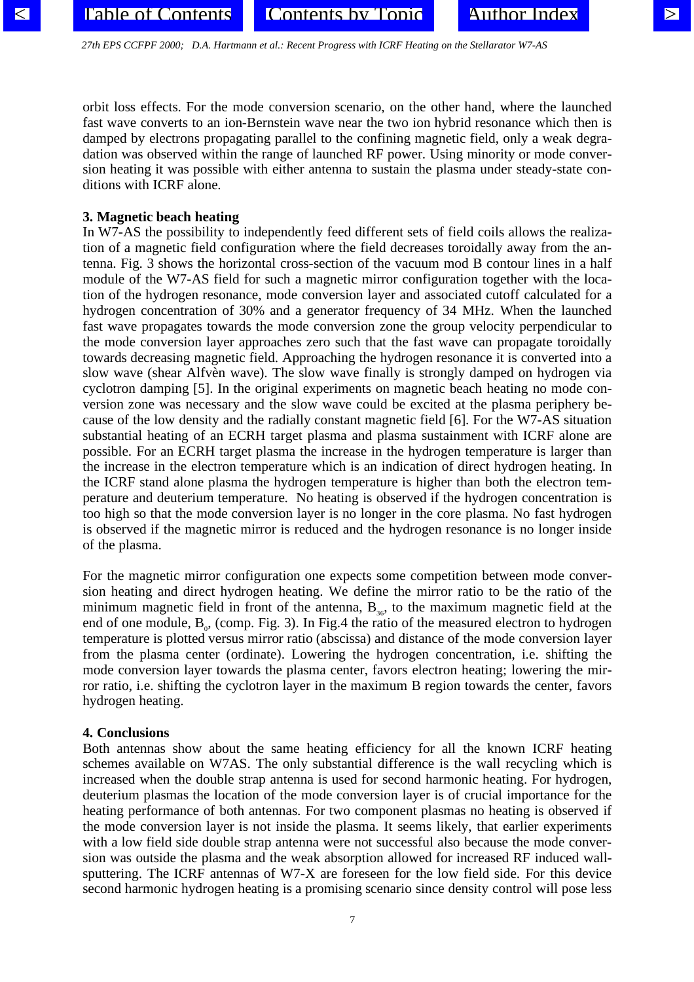*27th EPS CCFPF 2000; D.A. Hartmann et al. : Recent Progress with ICRF Heating on the Stellarator W7-AS* 

orbit loss effects. For the mode conversion scenario, on the other hand, where the launched fast wave converts to an ion-Bernstein wave near the two ion hybrid resonance which then is damped by electrons propagating parallel to the confining magnetic field, only a weak degradation was observed within the range of launched RF power. Using minority or mode conversion heating it was possible with either antenna to sustain the plasma under steady-state conditions with ICRF alone.

## **3. Magnetic beach heating**

In W7-AS the possibility to independently feed different sets of field coils allows the realization of a magnetic field configuration where the field decreases toroidally away from the antenna. Fig. 3 shows the horizontal cross-section of the vacuum mod B contour lines in a half module of the W7-AS field for such a magnetic mirror configuration together with the location of the hydrogen resonance, mode conversion layer and associated cutoff calculated for a hydrogen concentration of 30% and a generator frequency of 34 MHz. When the launched fast wave propagates towards the mode conversion zone the group velocity perpendicular to the mode conversion layer approaches zero such that the fast wave can propagate toroidally towards decreasing magnetic field. Approaching the hydrogen resonance it is converted into a slow wave (shear Alfvèn wave). The slow wave finally is strongly damped on hydrogen via cyclotron damping [5]. In the original experiments on magnetic beach heating no mode conversion zone was necessary and the slow wave could be excited at the plasma periphery because of the low density and the radially constant magnetic field [6]. For the W7-AS situation substantial heating of an ECRH target plasma and plasma sustainment with ICRF alone are possible. For an ECRH target plasma the increase in the hydrogen temperature is larger than the increase in the electron temperature which is an indication of direct hydrogen heating. In the ICRF stand alone plasma the hydrogen temperature is higher than both the electron temperature and deuterium temperature. No heating is observed if the hydrogen concentration is too high so that the mode conversion layer is no longer in the core plasma. No fast hydrogen is observed if the magnetic mirror is reduced and the hydrogen resonance is no longer inside of the plasma.

For the magnetic mirror configuration one expects some competition between mode conversion heating and direct hydrogen heating. We define the mirror ratio to be the ratio of the minimum magnetic field in front of the antenna,  $B_{36}$ , to the maximum magnetic field at the end of one module,  $B_{0}$ , (comp. Fig. 3). In Fig.4 the ratio of the measured electron to hydrogen temperature is plotted versus mirror ratio (abscissa) and distance of the mode conversion layer from the plasma center (ordinate). Lowering the hydrogen concentration, i.e. shifting the mode conversion layer towards the plasma center, favors electron heating; lowering the mirror ratio, i.e. shifting the cyclotron layer in the maximum B region towards the center, favors hydrogen heating.

### **4. Conclusions**

Both antennas show about the same heating efficiency for all the known ICRF heating schemes available on W7AS. The only substantial difference is the wall recycling which is increased when the double strap antenna is used for second harmonic heating. For hydrogen, deuterium plasmas the location of the mode conversion layer is of crucial importance for the heating performance of both antennas. For two component plasmas no heating is observed if the mode conversion layer is not inside the plasma. It seems likely, that earlier experiments with a low field side double strap antenna were not successful also because the mode conversion was outside the plasma and the weak absorption allowed for increased RF induced wallsputtering. The ICRF antennas of W7-X are foreseen for the low field side. For this device second harmonic hydrogen heating is a promising scenario since density control will pose less